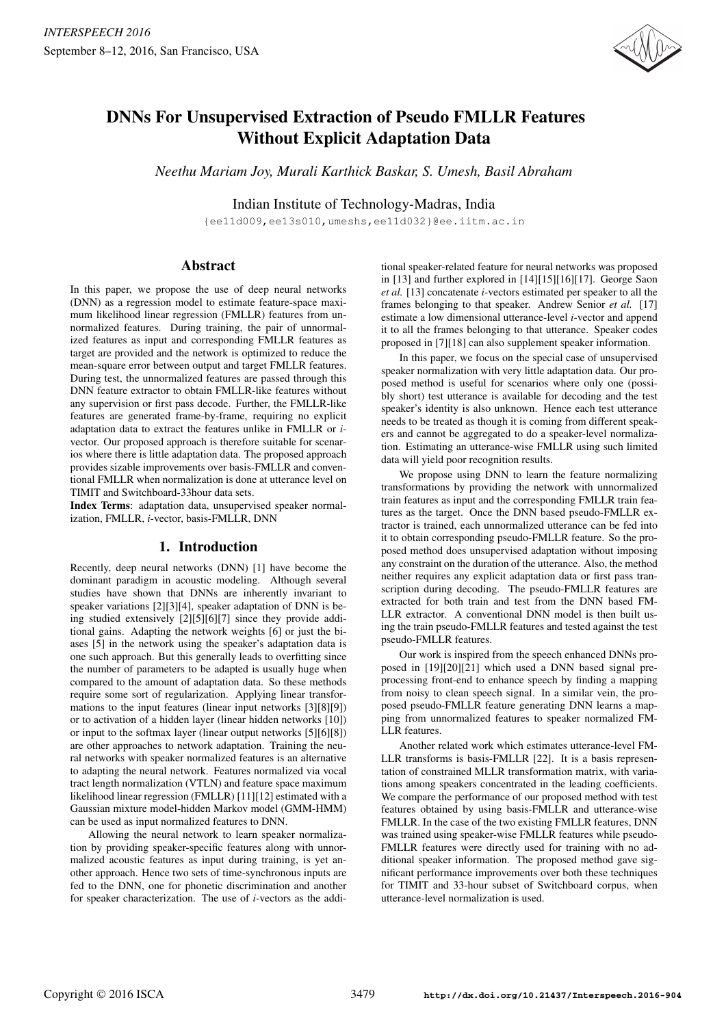

# DNNs For Unsupervised Extraction of Pseudo FMLLR Features Without Explicit Adaptation Data

*Neethu Mariam Joy, Murali Karthick Baskar, S. Umesh, Basil Abraham*

Indian Institute of Technology-Madras, India

{ee11d009,ee13s010,umeshs,ee11d032}@ee.iitm.ac.in

# Abstract

In this paper, we propose the use of deep neural networks (DNN) as a regression model to estimate feature-space maximum likelihood linear regression (FMLLR) features from unnormalized features. During training, the pair of unnormalized features as input and corresponding FMLLR features as target are provided and the network is optimized to reduce the mean-square error between output and target FMLLR features. During test, the unnormalized features are passed through this DNN feature extractor to obtain FMLLR-like features without any supervision or first pass decode. Further, the FMLLR-like features are generated frame-by-frame, requiring no explicit adaptation data to extract the features unlike in FMLLR or *i*vector. Our proposed approach is therefore suitable for scenarios where there is little adaptation data. The proposed approach provides sizable improvements over basis-FMLLR and conventional FMLLR when normalization is done at utterance level on TIMIT and Switchboard-33hour data sets.

Index Terms: adaptation data, unsupervised speaker normalization, FMLLR, *i*-vector, basis-FMLLR, DNN

# 1. Introduction

Recently, deep neural networks (DNN) [1] have become the dominant paradigm in acoustic modeling. Although several studies have shown that DNNs are inherently invariant to speaker variations [2][3][4], speaker adaptation of DNN is being studied extensively [2][5][6][7] since they provide additional gains. Adapting the network weights [6] or just the biases [5] in the network using the speaker's adaptation data is one such approach. But this generally leads to overfitting since the number of parameters to be adapted is usually huge when compared to the amount of adaptation data. So these methods require some sort of regularization. Applying linear transformations to the input features (linear input networks [3][8][9]) or to activation of a hidden layer (linear hidden networks [10]) or input to the softmax layer (linear output networks [5][6][8]) are other approaches to network adaptation. Training the neural networks with speaker normalized features is an alternative to adapting the neural network. Features normalized via vocal tract length normalization (VTLN) and feature space maximum likelihood linear regression (FMLLR) [11][12] estimated with a Gaussian mixture model-hidden Markov model (GMM-HMM) can be used as input normalized features to DNN.

Allowing the neural network to learn speaker normalization by providing speaker-specific features along with unnormalized acoustic features as input during training, is yet another approach. Hence two sets of time-synchronous inputs are fed to the DNN, one for phonetic discrimination and another for speaker characterization. The use of *i*-vectors as the addi-

tional speaker-related feature for neural networks was proposed in [13] and further explored in [14][15][16][17]. George Saon *et al.* [13] concatenate *i*-vectors estimated per speaker to all the frames belonging to that speaker. Andrew Senior *et al.* [17] estimate a low dimensional utterance-level *i*-vector and append it to all the frames belonging to that utterance. Speaker codes proposed in [7][18] can also supplement speaker information.

In this paper, we focus on the special case of unsupervised speaker normalization with very little adaptation data. Our proposed method is useful for scenarios where only one (possibly short) test utterance is available for decoding and the test speaker's identity is also unknown. Hence each test utterance needs to be treated as though it is coming from different speakers and cannot be aggregated to do a speaker-level normalization. Estimating an utterance-wise FMLLR using such limited data will yield poor recognition results.

We propose using DNN to learn the feature normalizing transformations by providing the network with unnormalized train features as input and the corresponding FMLLR train features as the target. Once the DNN based pseudo-FMLLR extractor is trained, each unnormalized utterance can be fed into it to obtain corresponding pseudo-FMLLR feature. So the proposed method does unsupervised adaptation without imposing any constraint on the duration of the utterance. Also, the method neither requires any explicit adaptation data or first pass transcription during decoding. The pseudo-FMLLR features are extracted for both train and test from the DNN based FM-LLR extractor. A conventional DNN model is then built using the train pseudo-FMLLR features and tested against the test pseudo-FMLLR features.

Our work is inspired from the speech enhanced DNNs proposed in [19][20][21] which used a DNN based signal preprocessing front-end to enhance speech by finding a mapping from noisy to clean speech signal. In a similar vein, the proposed pseudo-FMLLR feature generating DNN learns a mapping from unnormalized features to speaker normalized FM-LLR features.

Another related work which estimates utterance-level FM-LLR transforms is basis-FMLLR [22]. It is a basis representation of constrained MLLR transformation matrix, with variations among speakers concentrated in the leading coefficients. We compare the performance of our proposed method with test features obtained by using basis-FMLLR and utterance-wise FMLLR. In the case of the two existing FMLLR features, DNN was trained using speaker-wise FMLLR features while pseudo-FMLLR features were directly used for training with no additional speaker information. The proposed method gave significant performance improvements over both these techniques for TIMIT and 33-hour subset of Switchboard corpus, when utterance-level normalization is used.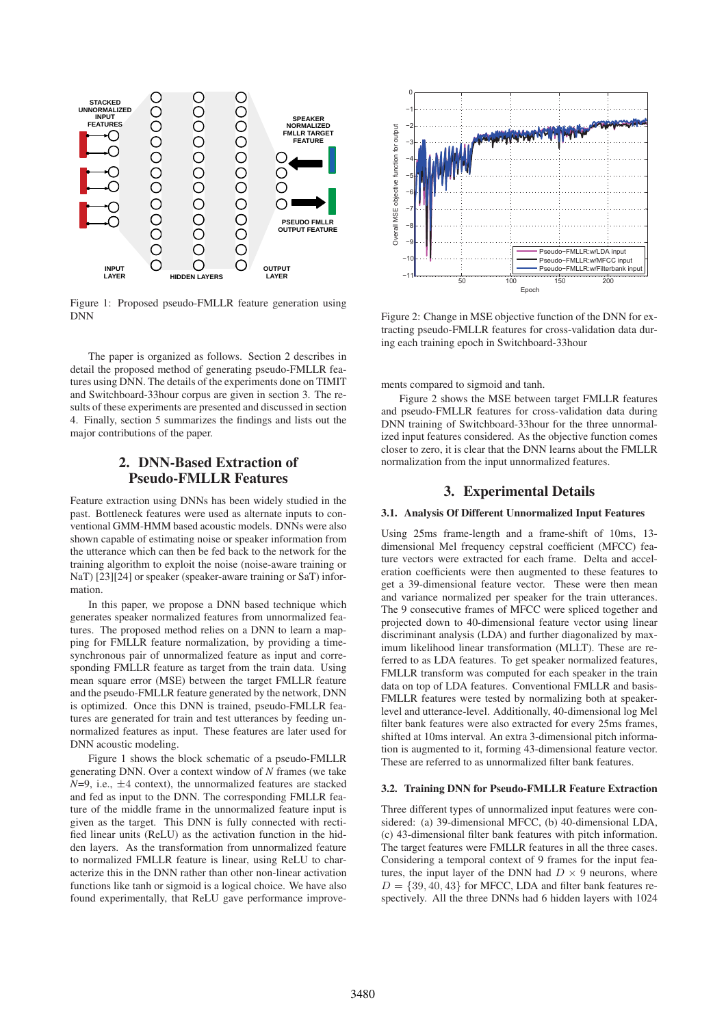

Figure 1: Proposed pseudo-FMLLR feature generation using DNN

The paper is organized as follows. Section 2 describes in detail the proposed method of generating pseudo-FMLLR features using DNN. The details of the experiments done on TIMIT and Switchboard-33hour corpus are given in section 3. The results of these experiments are presented and discussed in section 4. Finally, section 5 summarizes the findings and lists out the major contributions of the paper.

# 2. DNN-Based Extraction of Pseudo-FMLLR Features

Feature extraction using DNNs has been widely studied in the past. Bottleneck features were used as alternate inputs to conventional GMM-HMM based acoustic models. DNNs were also shown capable of estimating noise or speaker information from the utterance which can then be fed back to the network for the training algorithm to exploit the noise (noise-aware training or NaT) [23][24] or speaker (speaker-aware training or SaT) information.

In this paper, we propose a DNN based technique which generates speaker normalized features from unnormalized features. The proposed method relies on a DNN to learn a mapping for FMLLR feature normalization, by providing a timesynchronous pair of unnormalized feature as input and corresponding FMLLR feature as target from the train data. Using mean square error (MSE) between the target FMLLR feature and the pseudo-FMLLR feature generated by the network, DNN is optimized. Once this DNN is trained, pseudo-FMLLR features are generated for train and test utterances by feeding unnormalized features as input. These features are later used for DNN acoustic modeling.

Figure 1 shows the block schematic of a pseudo-FMLLR generating DNN. Over a context window of *N* frames (we take  $N=9$ , i.e.,  $\pm 4$  context), the unnormalized features are stacked and fed as input to the DNN. The corresponding FMLLR feature of the middle frame in the unnormalized feature input is given as the target. This DNN is fully connected with rectified linear units (ReLU) as the activation function in the hidden layers. As the transformation from unnormalized feature to normalized FMLLR feature is linear, using ReLU to characterize this in the DNN rather than other non-linear activation functions like tanh or sigmoid is a logical choice. We have also found experimentally, that ReLU gave performance improve-



Figure 2: Change in MSE objective function of the DNN for extracting pseudo-FMLLR features for cross-validation data during each training epoch in Switchboard-33hour

ments compared to sigmoid and tanh.

Figure 2 shows the MSE between target FMLLR features and pseudo-FMLLR features for cross-validation data during DNN training of Switchboard-33hour for the three unnormalized input features considered. As the objective function comes closer to zero, it is clear that the DNN learns about the FMLLR normalization from the input unnormalized features.

# 3. Experimental Details

# 3.1. Analysis Of Different Unnormalized Input Features

Using 25ms frame-length and a frame-shift of 10ms, 13 dimensional Mel frequency cepstral coefficient (MFCC) feature vectors were extracted for each frame. Delta and acceleration coefficients were then augmented to these features to get a 39-dimensional feature vector. These were then mean and variance normalized per speaker for the train utterances. The 9 consecutive frames of MFCC were spliced together and projected down to 40-dimensional feature vector using linear discriminant analysis (LDA) and further diagonalized by maximum likelihood linear transformation (MLLT). These are referred to as LDA features. To get speaker normalized features, FMLLR transform was computed for each speaker in the train data on top of LDA features. Conventional FMLLR and basis-FMLLR features were tested by normalizing both at speakerlevel and utterance-level. Additionally, 40-dimensional log Mel filter bank features were also extracted for every 25ms frames, shifted at 10ms interval. An extra 3-dimensional pitch information is augmented to it, forming 43-dimensional feature vector. These are referred to as unnormalized filter bank features.

#### 3.2. Training DNN for Pseudo-FMLLR Feature Extraction

Three different types of unnormalized input features were considered: (a) 39-dimensional MFCC, (b) 40-dimensional LDA, (c) 43-dimensional filter bank features with pitch information. The target features were FMLLR features in all the three cases. Considering a temporal context of 9 frames for the input features, the input layer of the DNN had  $D \times 9$  neurons, where  $D = \{39, 40, 43\}$  for MFCC, LDA and filter bank features respectively. All the three DNNs had 6 hidden layers with 1024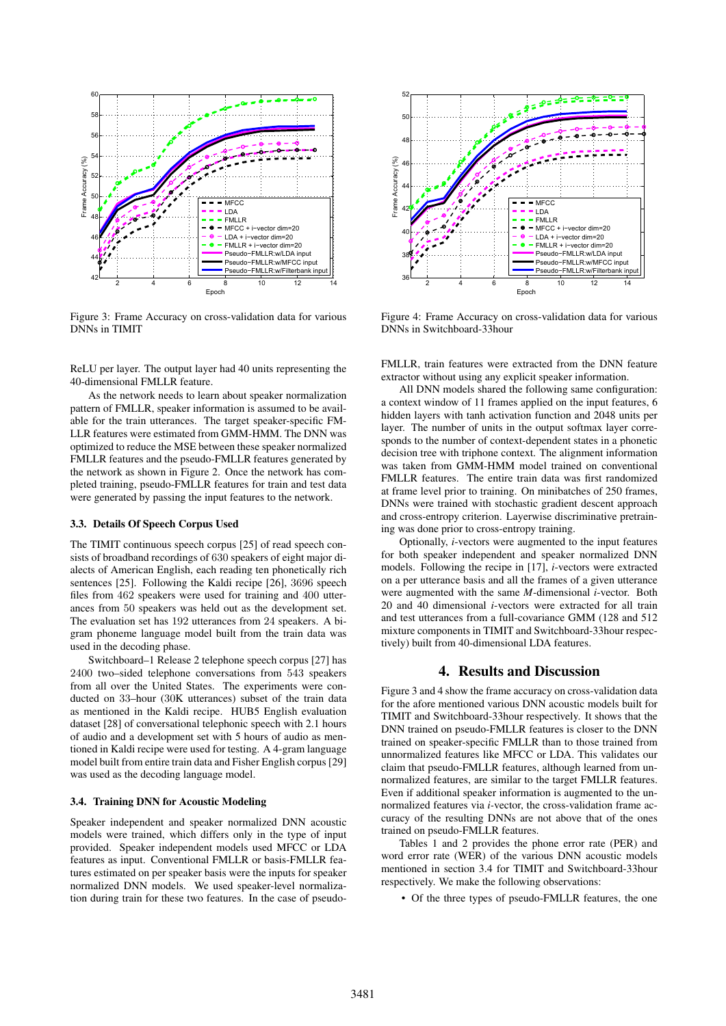

Figure 3: Frame Accuracy on cross-validation data for various DNNs in TIMIT

ReLU per layer. The output layer had 40 units representing the 40-dimensional FMLLR feature.

As the network needs to learn about speaker normalization pattern of FMLLR, speaker information is assumed to be available for the train utterances. The target speaker-specific FM-LLR features were estimated from GMM-HMM. The DNN was optimized to reduce the MSE between these speaker normalized FMLLR features and the pseudo-FMLLR features generated by the network as shown in Figure 2. Once the network has completed training, pseudo-FMLLR features for train and test data were generated by passing the input features to the network.

### 3.3. Details Of Speech Corpus Used

The TIMIT continuous speech corpus [25] of read speech consists of broadband recordings of 630 speakers of eight major dialects of American English, each reading ten phonetically rich sentences [25]. Following the Kaldi recipe [26], 3696 speech files from 462 speakers were used for training and 400 utterances from 50 speakers was held out as the development set. The evaluation set has 192 utterances from 24 speakers. A bigram phoneme language model built from the train data was used in the decoding phase.

Switchboard–1 Release 2 telephone speech corpus [27] has 2400 two–sided telephone conversations from 543 speakers from all over the United States. The experiments were conducted on 33–hour (30K utterances) subset of the train data as mentioned in the Kaldi recipe. HUB5 English evaluation dataset [28] of conversational telephonic speech with 2.1 hours of audio and a development set with 5 hours of audio as mentioned in Kaldi recipe were used for testing. A 4-gram language model built from entire train data and Fisher English corpus [29] was used as the decoding language model.

## 3.4. Training DNN for Acoustic Modeling

Speaker independent and speaker normalized DNN acoustic models were trained, which differs only in the type of input provided. Speaker independent models used MFCC or LDA features as input. Conventional FMLLR or basis-FMLLR features estimated on per speaker basis were the inputs for speaker normalized DNN models. We used speaker-level normalization during train for these two features. In the case of pseudo-



Figure 4: Frame Accuracy on cross-validation data for various DNNs in Switchboard-33hour

FMLLR, train features were extracted from the DNN feature extractor without using any explicit speaker information.

All DNN models shared the following same configuration: a context window of 11 frames applied on the input features, 6 hidden layers with tanh activation function and 2048 units per layer. The number of units in the output softmax layer corresponds to the number of context-dependent states in a phonetic decision tree with triphone context. The alignment information was taken from GMM-HMM model trained on conventional FMLLR features. The entire train data was first randomized at frame level prior to training. On minibatches of 250 frames, DNNs were trained with stochastic gradient descent approach and cross-entropy criterion. Layerwise discriminative pretraining was done prior to cross-entropy training.

Optionally, *i*-vectors were augmented to the input features for both speaker independent and speaker normalized DNN models. Following the recipe in [17], *i*-vectors were extracted on a per utterance basis and all the frames of a given utterance were augmented with the same *M*-dimensional *i*-vector*.* Both 20 and 40 dimensional *i*-vectors were extracted for all train and test utterances from a full-covariance GMM (128 and 512 mixture components in TIMIT and Switchboard-33hour respectively) built from 40-dimensional LDA features.

## 4. Results and Discussion

Figure 3 and 4 show the frame accuracy on cross-validation data for the afore mentioned various DNN acoustic models built for TIMIT and Switchboard-33hour respectively. It shows that the DNN trained on pseudo-FMLLR features is closer to the DNN trained on speaker-specific FMLLR than to those trained from unnormalized features like MFCC or LDA. This validates our claim that pseudo-FMLLR features, although learned from unnormalized features, are similar to the target FMLLR features. Even if additional speaker information is augmented to the unnormalized features via *i-*vector, the cross-validation frame accuracy of the resulting DNNs are not above that of the ones trained on pseudo-FMLLR features.

Tables 1 and 2 provides the phone error rate (PER) and word error rate (WER) of the various DNN acoustic models mentioned in section 3.4 for TIMIT and Switchboard-33hour respectively. We make the following observations:

• Of the three types of pseudo-FMLLR features, the one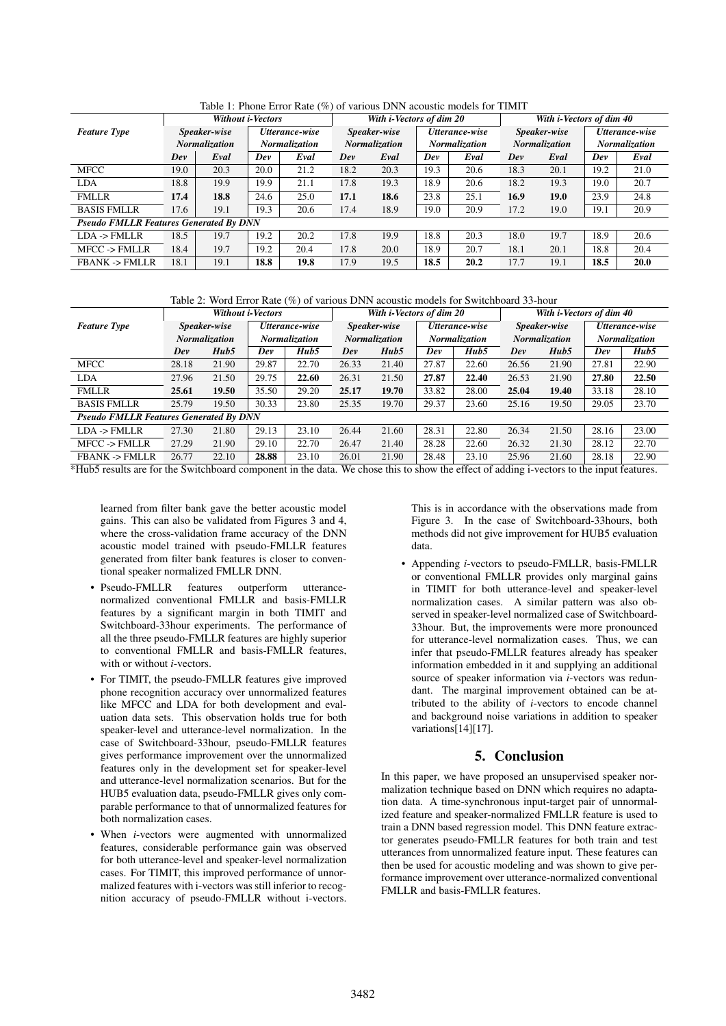|                                               | $\cdot$ $\cdot$ $\cdot$ $\cdot$<br>Without <i>i-Vectors</i> |      |                                        |      |                                      | With i-Vectors of dim 20 |                                        |      | With i-Vectors of dim 40             |      |                                 |             |
|-----------------------------------------------|-------------------------------------------------------------|------|----------------------------------------|------|--------------------------------------|--------------------------|----------------------------------------|------|--------------------------------------|------|---------------------------------|-------------|
| <b>Feature Type</b>                           | Speaker-wise<br><b>Normalization</b>                        |      | Utterance-wise<br><b>Normalization</b> |      | Speaker-wise<br><b>Normalization</b> |                          | Utterance-wise<br><b>Normalization</b> |      | Speaker-wise<br><b>Normalization</b> |      | Utterance-wise<br>Normalization |             |
|                                               |                                                             |      |                                        |      |                                      |                          |                                        |      |                                      |      |                                 |             |
|                                               | Dev                                                         | Eval | Dev                                    | Eval | Dev                                  | Eval                     | Dev                                    | Eval | Dev                                  | Eval | Dev                             | Eval        |
| <b>MFCC</b>                                   | 19.0                                                        | 20.3 | 20.0                                   | 21.2 | 18.2                                 | 20.3                     | 19.3                                   | 20.6 | 18.3                                 | 20.1 | 19.2                            | 21.0        |
| <b>LDA</b>                                    | 18.8                                                        | 19.9 | 19.9                                   | 21.1 | 17.8                                 | 19.3                     | 18.9                                   | 20.6 | 18.2                                 | 19.3 | 19.0                            | 20.7        |
| <b>FMLLR</b>                                  | 17.4                                                        | 18.8 | 24.6                                   | 25.0 | 17.1                                 | 18.6                     | 23.8                                   | 25.1 | 16.9                                 | 19.0 | 23.9                            | 24.8        |
| <b>BASIS FMLLR</b>                            | 17.6                                                        | 19.1 | 19.3                                   | 20.6 | 17.4                                 | 18.9                     | 19.0                                   | 20.9 | 17.2                                 | 19.0 | 19.1                            | 20.9        |
| <b>Pseudo FMLLR Features Generated By DNN</b> |                                                             |      |                                        |      |                                      |                          |                                        |      |                                      |      |                                 |             |
| $LDA$ -> $FMLLR$                              | 18.5                                                        | 19.7 | 19.2                                   | 20.2 | 17.8                                 | 19.9                     | 18.8                                   | 20.3 | 18.0                                 | 19.7 | 18.9                            | 20.6        |
| <b>MFCC -&gt; FMLLR</b>                       | 18.4                                                        | 19.7 | 19.2                                   | 20.4 | 17.8                                 | 20.0                     | 18.9                                   | 20.7 | 18.1                                 | 20.1 | 18.8                            | 20.4        |
| <b>FBANK -&gt; FMLLR</b>                      | 18.1                                                        | 19.1 | 18.8                                   | 19.8 | 17.9                                 | 19.5                     | 18.5                                   | 20.2 | 17.7                                 | 19.1 | 18.5                            | <b>20.0</b> |

Table 1: Phone Error Rate (%) of various DNN acoustic models for TIMIT

Table 2: Word Error Rate (%) of various DNN acoustic models for Switchboard 33-hour

|                                               | <b>Without i-Vectors</b> |       |                      |       | With i-Vectors of dim 20 |       |                      |       | With i-Vectors of dim 40 |       |                      |       |
|-----------------------------------------------|--------------------------|-------|----------------------|-------|--------------------------|-------|----------------------|-------|--------------------------|-------|----------------------|-------|
| <b>Feature Type</b>                           | Speaker-wise             |       | Utterance-wise       |       | Speaker-wise             |       | Utterance-wise       |       | Speaker-wise             |       | Utterance-wise       |       |
|                                               | <b>Normalization</b>     |       | <b>Normalization</b> |       | <b>Normalization</b>     |       | <b>Normalization</b> |       | <b>Normalization</b>     |       | <b>Normalization</b> |       |
|                                               | Dev                      | Hub5  | Dev                  | Hub5  | Dev                      | Hub5  | Dev                  | Hub5  | Dev                      | Hub5  | Dev                  | Hub5  |
| <b>MFCC</b>                                   | 28.18                    | 21.90 | 29.87                | 22.70 | 26.33                    | 21.40 | 27.87                | 22.60 | 26.56                    | 21.90 | 27.81                | 22.90 |
| <b>LDA</b>                                    | 27.96                    | 21.50 | 29.75                | 22.60 | 26.31                    | 21.50 | 27.87                | 22.40 | 26.53                    | 21.90 | 27.80                | 22.50 |
| <b>FMLLR</b>                                  | 25.61                    | 19.50 | 35.50                | 29.20 | 25.17                    | 19.70 | 33.82                | 28.00 | 25.04                    | 19.40 | 33.18                | 28.10 |
| <b>BASIS FMLLR</b>                            | 25.79                    | 19.50 | 30.33                | 23.80 | 25.35                    | 19.70 | 29.37                | 23.60 | 25.16                    | 19.50 | 29.05                | 23.70 |
| <b>Pseudo FMLLR Features Generated By DNN</b> |                          |       |                      |       |                          |       |                      |       |                          |       |                      |       |
| $LDA$ -> $FMLLR$                              | 27.30                    | 21.80 | 29.13                | 23.10 | 26.44                    | 21.60 | 28.31                | 22.80 | 26.34                    | 21.50 | 28.16                | 23.00 |
| MFCC -> FMLLR                                 | 27.29                    | 21.90 | 29.10                | 22.70 | 26.47                    | 21.40 | 28.28                | 22.60 | 26.32                    | 21.30 | 28.12                | 22.70 |
| <b>FBANK -&gt; FMLLR</b>                      | 26.77                    | 22.10 | 28.88                | 23.10 | 26.01                    | 21.90 | 28.48                | 23.10 | 25.96                    | 21.60 | 28.18                | 22.90 |

\*Hub5 results are for the Switchboard component in the data. We chose this to show the effect of adding i-vectors to the input features.

learned from filter bank gave the better acoustic model gains. This can also be validated from Figures 3 and 4, where the cross-validation frame accuracy of the DNN acoustic model trained with pseudo-FMLLR features generated from filter bank features is closer to conventional speaker normalized FMLLR DNN.

- Pseudo-FMLLR features outperform utterancenormalized conventional FMLLR and basis-FMLLR features by a significant margin in both TIMIT and Switchboard-33hour experiments. The performance of all the three pseudo-FMLLR features are highly superior to conventional FMLLR and basis-FMLLR features, with or without *i*-vectors.
- For TIMIT, the pseudo-FMLLR features give improved phone recognition accuracy over unnormalized features like MFCC and LDA for both development and evaluation data sets. This observation holds true for both speaker-level and utterance-level normalization. In the case of Switchboard-33hour, pseudo-FMLLR features gives performance improvement over the unnormalized features only in the development set for speaker-level and utterance-level normalization scenarios. But for the HUB5 evaluation data, pseudo-FMLLR gives only comparable performance to that of unnormalized features for both normalization cases.
- When *i*-vectors were augmented with unnormalized features, considerable performance gain was observed for both utterance-level and speaker-level normalization cases. For TIMIT, this improved performance of unnormalized features with i-vectors was still inferior to recognition accuracy of pseudo-FMLLR without i-vectors.

This is in accordance with the observations made from Figure 3. In the case of Switchboard-33hours, both methods did not give improvement for HUB5 evaluation data.

• Appending *i*-vectors to pseudo-FMLLR, basis-FMLLR or conventional FMLLR provides only marginal gains in TIMIT for both utterance-level and speaker-level normalization cases. A similar pattern was also observed in speaker-level normalized case of Switchboard-33hour. But, the improvements were more pronounced for utterance-level normalization cases. Thus, we can infer that pseudo-FMLLR features already has speaker information embedded in it and supplying an additional source of speaker information via *i*-vectors was redundant. The marginal improvement obtained can be attributed to the ability of *i*-vectors to encode channel and background noise variations in addition to speaker variations[14][17].

# 5. Conclusion

In this paper, we have proposed an unsupervised speaker normalization technique based on DNN which requires no adaptation data. A time-synchronous input-target pair of unnormalized feature and speaker-normalized FMLLR feature is used to train a DNN based regression model. This DNN feature extractor generates pseudo-FMLLR features for both train and test utterances from unnormalized feature input. These features can then be used for acoustic modeling and was shown to give performance improvement over utterance-normalized conventional FMLLR and basis-FMLLR features.